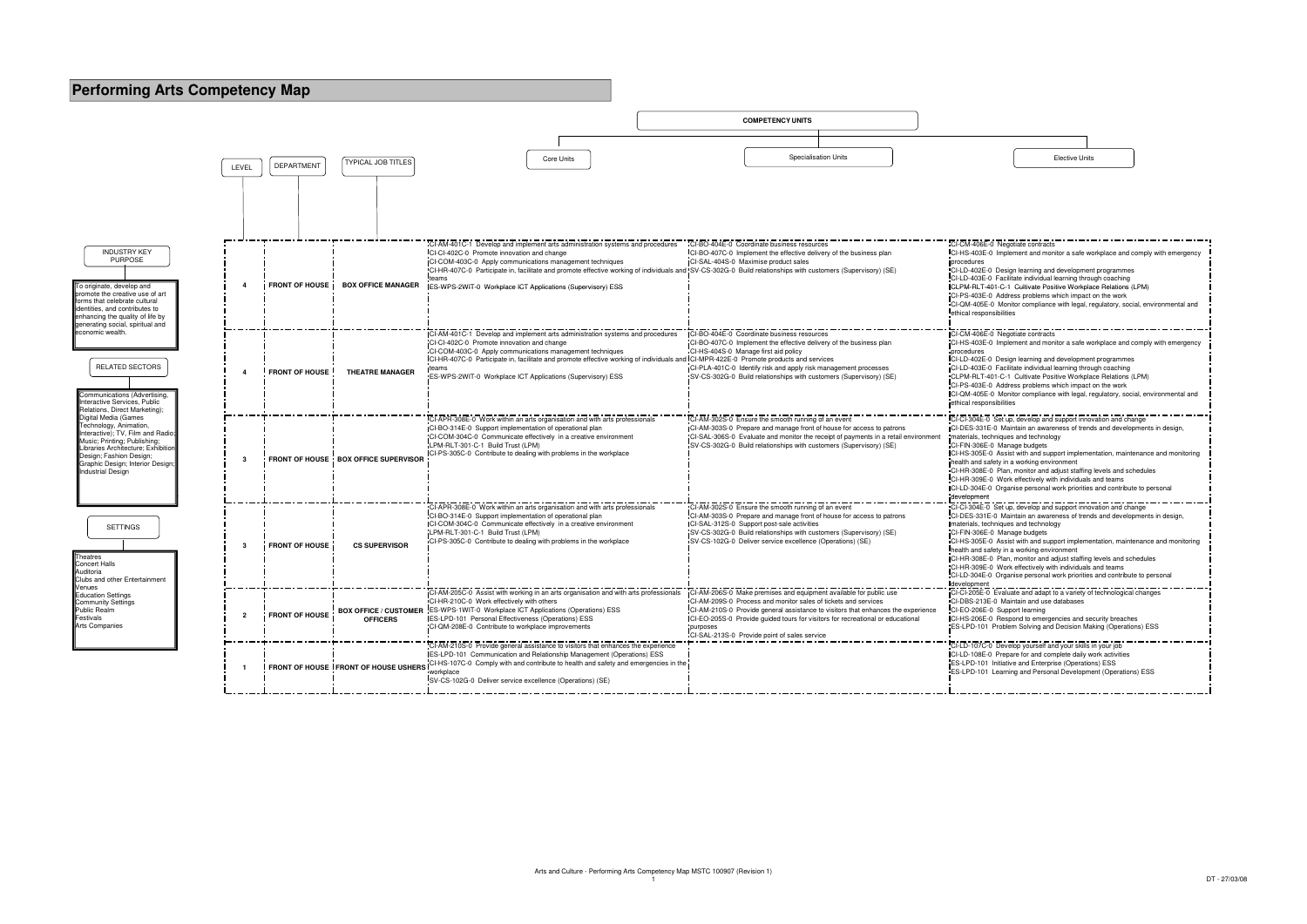



| CI-CM-406E-0 Negotiate contracts<br>CI-HS-403E-0 Implement and monitor a safe workplace and comply with emergency<br>procedures                                                                                                                                                                                                                                                                                                                                                                                                                                                                                                                                                                                                                                                                                                                                                                                                                                                                                                                                                                                                                                                                                                                                                                                                                                                                                                                                  |
|------------------------------------------------------------------------------------------------------------------------------------------------------------------------------------------------------------------------------------------------------------------------------------------------------------------------------------------------------------------------------------------------------------------------------------------------------------------------------------------------------------------------------------------------------------------------------------------------------------------------------------------------------------------------------------------------------------------------------------------------------------------------------------------------------------------------------------------------------------------------------------------------------------------------------------------------------------------------------------------------------------------------------------------------------------------------------------------------------------------------------------------------------------------------------------------------------------------------------------------------------------------------------------------------------------------------------------------------------------------------------------------------------------------------------------------------------------------|
| CI-LD-402E-0 Design learning and development programmes<br>CI-LD-403E-0 Facilitate individual learning through coaching<br>CLPM-RLT-401-C-1 Cultivate Positive Workplace Relations (LPM)<br>CI-PS-403E-0 Address problems which impact on the work<br>CI-QM-405E-0 Monitor compliance with legal, regulatory, social, environmental and<br>ethical responsibilities                                                                                                                                                                                                                                                                                                                                                                                                                                                                                                                                                                                                                                                                                                                                                                                                                                                                                                                                                                                                                                                                                              |
| CI-CM-406E-0 Negotiate contracts<br>CI-HS-403E-0 Implement and monitor a safe workplace and comply with emergency<br>procedures<br>CI-LD-402E-0 Design learning and development programmes<br>CI-LD-403E-0 Facilitate individual learning through coaching<br>CLPM-RLT-401-C-1 Cultivate Positive Workplace Relations (LPM)<br>CI-PS-403E-0 Address problems which impact on the work<br>CI-QM-405E-0 Monitor compliance with legal, regulatory, social, environmental and<br>ethical responsibilities                                                                                                                                                                                                                                                                                                                                                                                                                                                                                                                                                                                                                                                                                                                                                                                                                                                                                                                                                           |
| CI-CI-304E-0 Set up, develop and support innovation and change<br>CI-DES-331E-0 Maintain an awareness of trends and developments in design,<br>materials, techniques and technology<br>CI-FIN-306E-0 Manage budgets<br>CI-HS-305E-0 Assist with and support implementation, maintenance and monitoring<br>health and safety in a working environment<br>CI-HR-308E-0 Plan, monitor and adjust staffing levels and schedules<br>CI-HR-309E-0 Work effectively with individuals and teams<br>CI-LD-304E-0 Organise personal work priorities and contribute to personal<br>development<br>CI-CI-304E-0 Set up, develop and support innovation and change<br>CI-DES-331E-0 Maintain an awareness of trends and developments in design,<br>materials, techniques and technology<br>CI-FIN-306E-0 Manage budgets<br>CI-HS-305E-0 Assist with and support implementation, maintenance and monitoring<br>health and safety in a working environment<br>CI-HR-308E-0 Plan, monitor and adjust staffing levels and schedules<br>CI-HR-309E-0 Work effectively with individuals and teams<br>CI-LD-304E-0 Organise personal work priorities and contribute to personal<br>development<br>CI-CI-205E-0 Evaluate and adapt to a variety of technological changes<br>CI-DBS-213E-0 Maintain and use databases<br>CI-EO-206E-0 Support learning<br>CI-HS-206E-0 Respond to emergencies and security breaches<br>ES-LPD-101 Problem Solving and Decision Making (Operations) ESS |
| CI-LD-107C-0 Develop yourself and your skills in your job<br>CI-LD-108E-0 Prepare for and complete daily work activities<br>ES-LPD-101 Initiative and Enterprise (Operations) ESS<br>ES-LPD-101 Learning and Personal Development (Operations) ESS                                                                                                                                                                                                                                                                                                                                                                                                                                                                                                                                                                                                                                                                                                                                                                                                                                                                                                                                                                                                                                                                                                                                                                                                               |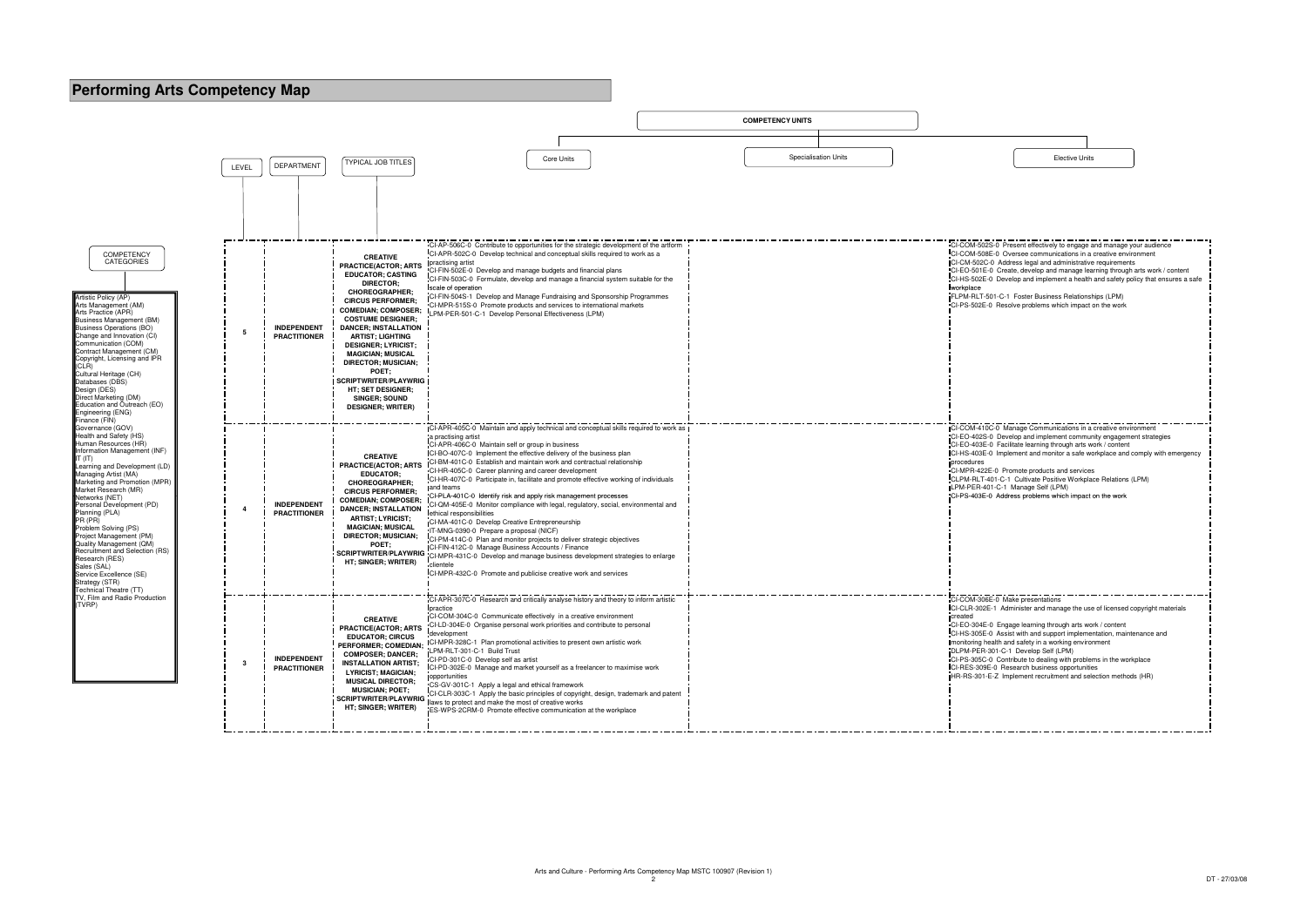

| CI-COM-502S-0 Present effectively to engage and manage your audience<br>CI-COM-508E-0 Oversee communications in a creative environment<br>CI-CM-502C-0 Address legal and administrative requirements<br>CI-EO-501E-0 Create, develop and manage learning through arts work / content<br>CI-HS-502E-0 Develop and implement a health and safety policy that ensures a safe<br>workplace<br>FLPM-RLT-501-C-1 Foster Business Relationships (LPM) |
|------------------------------------------------------------------------------------------------------------------------------------------------------------------------------------------------------------------------------------------------------------------------------------------------------------------------------------------------------------------------------------------------------------------------------------------------|
| CI-PS-502E-0 Resolve problems which impact on the work                                                                                                                                                                                                                                                                                                                                                                                         |
|                                                                                                                                                                                                                                                                                                                                                                                                                                                |
| CI-COM-410C-0 Manage Communications in a creative environment<br>CI-EO-402S-0 Develop and implement community engagement strategies<br>CI-EO-403E-0 Facilitate learning through arts work / content<br>CI-HS-403E-0 Implement and monitor a safe workplace and comply with emergency<br>procedures                                                                                                                                             |
| CI-MPR-422E-0 Promote products and services<br>CLPM-RLT-401-C-1 Cultivate Positive Workplace Relations (LPM)<br>LPM-PER-401-C-1 Manage Self (LPM)<br>CI-PS-403E-0 Address problems which impact on the work                                                                                                                                                                                                                                    |
|                                                                                                                                                                                                                                                                                                                                                                                                                                                |
|                                                                                                                                                                                                                                                                                                                                                                                                                                                |
| CI-COM-306E-0 Make presentations<br>CI-CLR-302E-1 Administer and manage the use of licensed copyright materials<br>created<br>CI-EO-304E-0 Engage learning through arts work / content                                                                                                                                                                                                                                                         |
| CI-HS-305E-0 Assist with and support implementation, maintenance and<br>monitoring health and safety in a working environment<br>DLPM-PER-301-C-1 Develop Self (LPM)<br>CI-PS-305C-0 Contribute to dealing with problems in the workplace<br>CI-RES-309E-0 Research business opportunities<br>HR-RS-301-E-Z Implement recruitment and selection methods (HR)                                                                                   |
|                                                                                                                                                                                                                                                                                                                                                                                                                                                |

| <b>Elective Units</b> |  |
|-----------------------|--|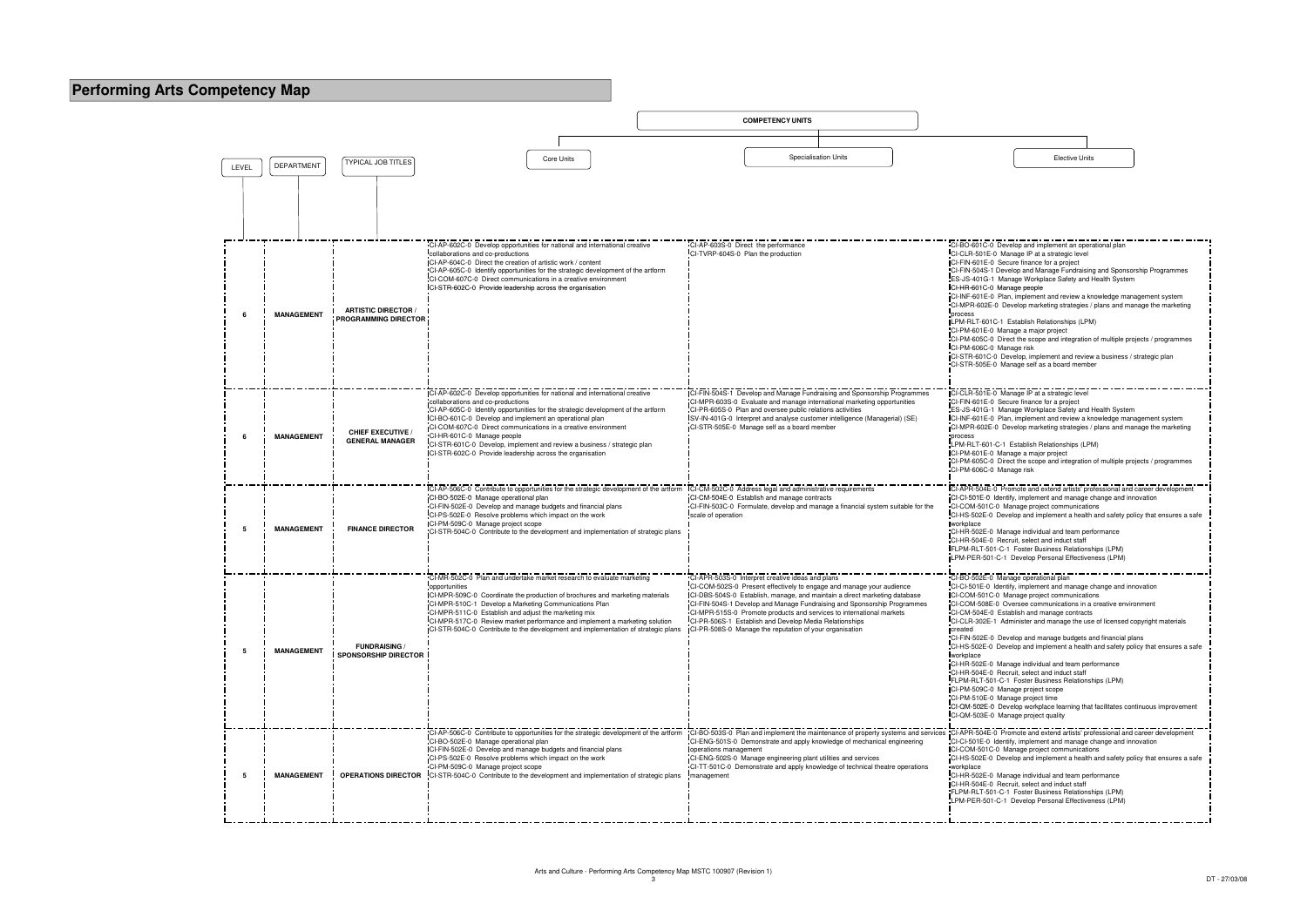|       |                   |                                                           |                                                                                                                                                                                                                                                                                                                                                                                                                                                                                                       | <b>COMPETENCY UNITS</b>                                                                                                                                                                                                                                                                                                                                                                                                                                                       |                                                                                                                                                                                                                                                                                                                                                                                                                                                                                                                                                                                                                                                                                                                                                                                                                                                                                                           |
|-------|-------------------|-----------------------------------------------------------|-------------------------------------------------------------------------------------------------------------------------------------------------------------------------------------------------------------------------------------------------------------------------------------------------------------------------------------------------------------------------------------------------------------------------------------------------------------------------------------------------------|-------------------------------------------------------------------------------------------------------------------------------------------------------------------------------------------------------------------------------------------------------------------------------------------------------------------------------------------------------------------------------------------------------------------------------------------------------------------------------|-----------------------------------------------------------------------------------------------------------------------------------------------------------------------------------------------------------------------------------------------------------------------------------------------------------------------------------------------------------------------------------------------------------------------------------------------------------------------------------------------------------------------------------------------------------------------------------------------------------------------------------------------------------------------------------------------------------------------------------------------------------------------------------------------------------------------------------------------------------------------------------------------------------|
|       |                   |                                                           |                                                                                                                                                                                                                                                                                                                                                                                                                                                                                                       |                                                                                                                                                                                                                                                                                                                                                                                                                                                                               |                                                                                                                                                                                                                                                                                                                                                                                                                                                                                                                                                                                                                                                                                                                                                                                                                                                                                                           |
| LEVEL | <b>DEPARTMENT</b> | <b>TYPICAL JOB TITLES</b>                                 | Core Units                                                                                                                                                                                                                                                                                                                                                                                                                                                                                            | <b>Specialisation Units</b>                                                                                                                                                                                                                                                                                                                                                                                                                                                   | <b>Elective Units</b>                                                                                                                                                                                                                                                                                                                                                                                                                                                                                                                                                                                                                                                                                                                                                                                                                                                                                     |
|       |                   |                                                           |                                                                                                                                                                                                                                                                                                                                                                                                                                                                                                       |                                                                                                                                                                                                                                                                                                                                                                                                                                                                               |                                                                                                                                                                                                                                                                                                                                                                                                                                                                                                                                                                                                                                                                                                                                                                                                                                                                                                           |
|       | <b>MANAGEMENT</b> | <b>ARTISTIC DIRECTOR /</b><br><b>PROGRAMMING DIRECTOR</b> | CI-AP-602C-0 Develop opportunities for national and international creative<br>collaborations and co-productions<br>CI-AP-604C-0 Direct the creation of artistic work / content<br>CI-AP-605C-0 Identify opportunities for the strategic development of the artform<br>CI-COM-607C-0 Direct communications in a creative environment<br>CI-STR-602C-0 Provide leadership across the organisation                                                                                                       | CI-AP-603S-0 Direct the performance<br>CI-TVRP-604S-0 Plan the production                                                                                                                                                                                                                                                                                                                                                                                                     | CI-BO-601C-0 Develop and implement an operational plan<br>CI-CLR-501E-0 Manage IP at a strategic level<br>CI-FIN-601E-0 Secure finance for a project<br>CI-FIN-504S-1 Develop and Manage Fundraising and Sponsorship Programmes<br>ES-JS-401G-1 Manage Workplace Safety and Health System<br>CI-HR-601C-0 Manage people<br>CI-INF-601E-0 Plan, implement and review a knowledge management system<br>CI-MPR-602E-0 Develop marketing strategies / plans and manage the marketing<br>process<br>LPM-RLT-601C-1 Establish Relationships (LPM)<br>CI-PM-601E-0 Manage a major project<br>CI-PM-605C-0 Direct the scope and integration of multiple projects / programmes<br>CI-PM-606C-0 Manage risk<br>CI-STR-601C-0 Develop, implement and review a business / strategic plan<br>CI-STR-505E-0 Manage self as a board member                                                                               |
|       | <b>MANAGEMENT</b> | <b>CHIEF EXECUTIVE /</b><br><b>GENERAL MANAGER</b>        | ICI-AP-602C-0 Develop opportunities for national and international creative<br>collaborations and co-productions<br>CI-AP-605C-0 Identify opportunities for the strategic development of the artform<br>ICI-BO-601C-0 Develop and implement an operational plan<br>CI-COM-607C-0 Direct communications in a creative environment<br>CI-HR-601C-0 Manage people<br>CI-STR-601C-0 Develop, implement and review a business / strategic plan<br>CI-STR-602C-0 Provide leadership across the organisation | CI-FIN-504S-1 Develop and Manage Fundraising and Sponsorship Programmes<br>CI-MPR-603S-0 Evaluate and manage international marketing opportunities<br>CI-PR-605S-0 Plan and oversee public relations activities<br>SV-IN-401G-0 Interpret and analyse customer intelligence (Managerial) (SE)<br>CI-STR-505E-0 Manage self as a board member                                                                                                                                  | CI-CLR-501E-0 Manage IP at a strategic level<br>CI-FIN-601E-0 Secure finance for a project<br>ES-JS-401G-1 Manage Workplace Safety and Health System<br>ICI-INF-601E-0 Plan, implement and review a knowledge management system<br>CI-MPR-602E-0 Develop marketing strategies / plans and manage the marketing<br>process<br>LPM-RLT-601-C-1 Establish Relationships (LPM)<br>CI-PM-601E-0 Manage a major project<br>CI-PM-605C-0 Direct the scope and integration of multiple projects / programmes<br>CI-PM-606C-0 Manage risk                                                                                                                                                                                                                                                                                                                                                                          |
|       | <b>MANAGEMENT</b> | <b>FINANCE DIRECTOR</b>                                   | CI-AP-506C-0 Contribute to opportunities for the strategic development of the artform<br>CI-BO-502E-0 Manage operational plan<br>CI-FIN-502E-0 Develop and manage budgets and financial plans<br>CI-PS-502E-0 Resolve problems which impact on the work<br>CI-PM-509C-0 Manage project scope<br>CI-STR-504C-0 Contribute to the development and implementation of strategic plans                                                                                                                     | CI-CM-502C-0 Address legal and administrative requirements<br>CI-CM-504E-0 Establish and manage contracts<br>CI-FIN-503C-0 Formulate, develop and manage a financial system suitable for the<br>scale of operation                                                                                                                                                                                                                                                            | CI-APR-504E-0 Promote and extend artists' professional and career development<br>CI-CI-501E-0 Identify, implement and manage change and innovation<br>CI-COM-501C-0 Manage project communications<br>CI-HS-502E-0 Develop and implement a health and safety policy that ensures a safe<br>workplace<br>CI-HR-502E-0 Manage individual and team performance<br>CI-HR-504E-0 Recruit, select and induct staff<br>FLPM-RLT-501-C-1 Foster Business Relationships (LPM)<br>LPM-PER-501-C-1 Develop Personal Effectiveness (LPM)                                                                                                                                                                                                                                                                                                                                                                               |
| 5     | <b>MANAGEMENT</b> | <b>FUNDRAISING /</b><br><b>SPONSORSHIP DIRECTOR</b>       | CI-MR-502C-0 Plan and undertake market research to evaluate marketing<br>opportunities<br>CI-MPR-509C-0 Coordinate the production of brochures and marketing materials<br>CI-MPR-510C-1 Develop a Marketing Communications Plan<br>CI-MPR-511C-0 Establish and adjust the marketing mix<br>CI-MPR-517C-0 Review market performance and implement a marketing solution<br>ICI-STR-504C-0 Contribute to the development and implementation of strategic plans                                           | CI-APR-503S-0 Interpret creative ideas and plans<br>CI-COM-502S-0 Present effectively to engage and manage your audience<br>CI-DBS-504S-0 Establish, manage, and maintain a direct marketing database<br>CI-FIN-504S-1 Develop and Manage Fundraising and Sponsorship Programmes<br>CI-MPR-515S-0 Promote products and services to international markets<br>CI-PR-506S-1 Establish and Develop Media Relationships<br>CI-PR-508S-0 Manage the reputation of your organisation | CI-BO-502E-0 Manage operational plan<br>CI-CI-501E-0 Identify, implement and manage change and innovation<br>CI-COM-501C-0 Manage project communications<br>CI-COM-508E-0 Oversee communications in a creative environment<br>CI-CM-504E-0 Establish and manage contracts<br>CI-CLR-302E-1 Administer and manage the use of licensed copyright materials<br>created<br>"CI-FIN-502E-0 Develop and manage budgets and financial plans<br>CI-HS-502E-0 Develop and implement a health and safety policy that ensures a safe<br>workplace<br>CI-HR-502E-0 Manage individual and team performance<br>CI-HR-504E-0 Recruit, select and induct staff<br>FLPM-RLT-501-C-1 Foster Business Relationships (LPM)<br>CI-PM-509C-0 Manage project scope<br>CI-PM-510E-0 Manage project time<br>CI-QM-502E-0 Develop workplace learning that facilitates continuous improvement<br>CI-QM-503E-0 Manage project quality |
|       | <b>MANAGEMENT</b> |                                                           | CI-AP-506C-0 Contribute to opportunities for the strategic development of the artform<br>CI-BO-502E-0 Manage operational plan<br>CI-FIN-502E-0 Develop and manage budgets and financial plans<br>CI-PS-502E-0 Resolve problems which impact on the work<br>CI-PM-509C-0 Manage project scope<br><b>OPERATIONS DIRECTOR</b> CI-STR-504C-0 Contribute to the development and implementation of strategic plans                                                                                          | CI-BO-503S-0 Plan and implement the maintenance of property systems and services CI-APR-504E-0 Promote and extend artists' professional and career development<br>CI-ENG-501S-0 Demonstrate and apply knowledge of mechanical engineering<br>operations management<br>CI-ENG-502S-0 Manage engineering plant utilities and services<br>CI-TT-501C-0 Demonstrate and apply knowledge of technical theatre operations<br>management                                             | CI-CI-501E-0 Identify, implement and manage change and innovation<br>CI-COM-501C-0 Manage project communications<br>CI-HS-502E-0 Develop and implement a health and safety policy that ensures a safe<br>workplace<br>CI-HR-502E-0 Manage individual and team performance<br>CI-HR-504E-0 Recruit, select and induct staff<br>FLPM-RLT-501-C-1 Foster Business Relationships (LPM)<br>LPM-PER-501-C-1 Develop Personal Effectiveness (LPM)                                                                                                                                                                                                                                                                                                                                                                                                                                                                |

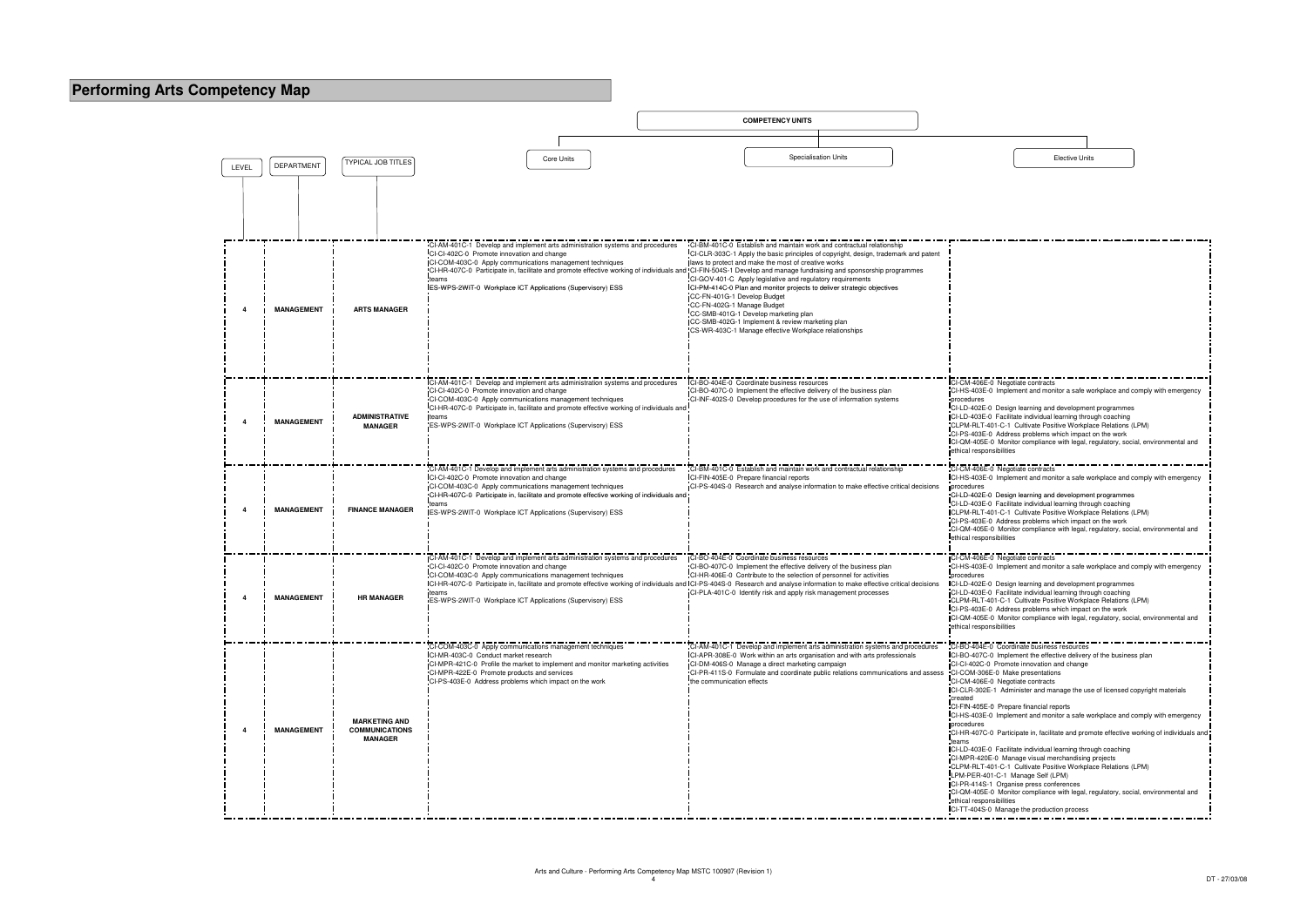| CI-CM-406E-0 Negotiate contracts                                                                                    |
|---------------------------------------------------------------------------------------------------------------------|
| CI-HS-403E-0 Implement and monitor a safe workplace and comply with emergency                                       |
| procedures                                                                                                          |
| CI-LD-402E-0 Design learning and development programmes                                                             |
| CI-LD-403E-0 Facilitate individual learning through coaching                                                        |
| CLPM-RLT-401-C-1 Cultivate Positive Workplace Relations (LPM)                                                       |
| CI-PS-403E-0 Address problems which impact on the work                                                              |
| CI-QM-405E-0 Monitor compliance with legal, regulatory, social, environmental and                                   |
| ethical responsibilities                                                                                            |
|                                                                                                                     |
| CI-CM-406E-0 Negotiate contracts                                                                                    |
| CI-HS-403E-0 Implement and monitor a safe workplace and comply with emergency                                       |
| procedures                                                                                                          |
| CI-LD-402E-0 Design learning and development programmes                                                             |
| CI-LD-403E-0 Facilitate individual learning through coaching                                                        |
| CLPM-RLT-401-C-1 Cultivate Positive Workplace Relations (LPM)                                                       |
| CI-PS-403E-0 Address problems which impact on the work                                                              |
| CI-QM-405E-0 Monitor compliance with legal, regulatory, social, environmental and                                   |
| ethical responsibilities                                                                                            |
|                                                                                                                     |
| CI-CM-406E-0 Negotiate contracts                                                                                    |
| CI-HS-403E-0 Implement and monitor a safe workplace and comply with emergency                                       |
| procedures<br>CI-LD-402E-0 Design learning and development programmes                                               |
| CI-LD-403E-0 Facilitate individual learning through coaching                                                        |
| CLPM-RLT-401-C-1 Cultivate Positive Workplace Relations (LPM)                                                       |
| CI-PS-403E-0 Address problems which impact on the work                                                              |
| CI-QM-405E-0 Monitor compliance with legal, regulatory, social, environmental and                                   |
| ethical responsibilities                                                                                            |
|                                                                                                                     |
| CI-BO-404E-0 Coordinate business resources                                                                          |
| CI-BO-407C-0 Implement the effective delivery of the business plan                                                  |
| CI-CI-402C-0 Promote innovation and change                                                                          |
| CI-COM-306E-0 Make presentations                                                                                    |
| CI-CM-406E-0 Negotiate contracts                                                                                    |
| CI-CLR-302E-1 Administer and manage the use of licensed copyright materials                                         |
| created                                                                                                             |
| CI-FIN-405E-0 Prepare financial reports                                                                             |
| CI-HS-403E-0 Implement and monitor a safe workplace and comply with emergency                                       |
| procedures                                                                                                          |
| CI-HR-407C-0 Participate in, facilitate and promote effective working of individuals and                            |
| teams                                                                                                               |
| CI-LD-403E-0 Facilitate individual learning through coaching                                                        |
| CI-MPR-420E-0 Manage visual merchandising projects<br>CLPM-RLT-401-C-1 Cultivate Positive Workplace Relations (LPM) |
| LPM-PER-401-C-1 Manage Self (LPM)                                                                                   |
| CI-PR-414S-1 Organise press conferences                                                                             |
| CI-QM-405E-0 Monitor compliance with legal, regulatory, social, environmental and                                   |
| ethical responsibilities                                                                                            |
| CI-TT-404S-0 Manage the production process                                                                          |
|                                                                                                                     |

|       |                   |                                                                 |                                                                                                                                                                                                                                                                                                                                                            | <b>COMPETENCY UNITS</b>                                                                                                                                                                                                                                                                                                                                                                                                                                                                                                                                                                                                                                                                                                                           |                                                                                                                                                                                                                                                                                                                                                                                                                                                                                                                                                                                                                                                                                                                                                                            |
|-------|-------------------|-----------------------------------------------------------------|------------------------------------------------------------------------------------------------------------------------------------------------------------------------------------------------------------------------------------------------------------------------------------------------------------------------------------------------------------|---------------------------------------------------------------------------------------------------------------------------------------------------------------------------------------------------------------------------------------------------------------------------------------------------------------------------------------------------------------------------------------------------------------------------------------------------------------------------------------------------------------------------------------------------------------------------------------------------------------------------------------------------------------------------------------------------------------------------------------------------|----------------------------------------------------------------------------------------------------------------------------------------------------------------------------------------------------------------------------------------------------------------------------------------------------------------------------------------------------------------------------------------------------------------------------------------------------------------------------------------------------------------------------------------------------------------------------------------------------------------------------------------------------------------------------------------------------------------------------------------------------------------------------|
|       |                   |                                                                 |                                                                                                                                                                                                                                                                                                                                                            |                                                                                                                                                                                                                                                                                                                                                                                                                                                                                                                                                                                                                                                                                                                                                   |                                                                                                                                                                                                                                                                                                                                                                                                                                                                                                                                                                                                                                                                                                                                                                            |
| LEVEL | <b>DEPARTMENT</b> | <b>TYPICAL JOB TITLES</b>                                       | <b>Core Units</b>                                                                                                                                                                                                                                                                                                                                          | <b>Specialisation Units</b>                                                                                                                                                                                                                                                                                                                                                                                                                                                                                                                                                                                                                                                                                                                       | <b>Elective Units</b>                                                                                                                                                                                                                                                                                                                                                                                                                                                                                                                                                                                                                                                                                                                                                      |
|       |                   |                                                                 |                                                                                                                                                                                                                                                                                                                                                            |                                                                                                                                                                                                                                                                                                                                                                                                                                                                                                                                                                                                                                                                                                                                                   |                                                                                                                                                                                                                                                                                                                                                                                                                                                                                                                                                                                                                                                                                                                                                                            |
|       | <b>MANAGEMENT</b> | <b>ARTS MANAGER</b>                                             | CI-AM-401C-1 Develop and implement arts administration systems and procedures<br>CI-CI-402C-0 Promote innovation and change<br>CI-COM-403C-0 Apply communications management techniques<br>teams<br>ES-WPS-2WIT-0 Workplace ICT Applications (Supervisory) ESS                                                                                             | CI-BM-401C-0 Establish and maintain work and contractual relationship<br>CI-CLR-303C-1 Apply the basic principles of copyright, design, trademark and patent<br>laws to protect and make the most of creative works<br>CI-HR-407C-0 Participate in, facilitate and promote effective working of individuals and CI-FIN-504S-1 Develop and manage fundraising and sponsorship programmes<br>CI-GOV-401-C Apply legislative and regulatory requirements<br>CI-PM-414C-0 Plan and monitor projects to deliver strategic objectives<br>CC-FN-401G-1 Develop Budget<br>CC-FN-402G-1 Manage Budget<br>CC-SMB-401G-1 Develop marketing plan<br>ICC-SMB-402G-1 Implement & review marketing plan<br>CS-WR-403C-1 Manage effective Workplace relationships |                                                                                                                                                                                                                                                                                                                                                                                                                                                                                                                                                                                                                                                                                                                                                                            |
|       | <b>MANAGEMENT</b> | <b>ADMINISTRATIVE</b><br><b>MANAGER</b>                         | CI-AM-401C-1 Develop and implement arts administration systems and procedures<br>CI-CI-402C-0 Promote innovation and change<br>CI-COM-403C-0 Apply communications management techniques<br>CI-HR-407C-0 Participate in, facilitate and promote effective working of individuals and<br>teams<br>ES-WPS-2WIT-0 Workplace ICT Applications (Supervisory) ESS | CI-BO-404E-0 Coordinate business resources<br>CI-BO-407C-0 Implement the effective delivery of the business plan<br>CI-INF-402S-0 Develop procedures for the use of information systems                                                                                                                                                                                                                                                                                                                                                                                                                                                                                                                                                           | CI-CM-406E-0 Negotiate contracts<br>CI-HS-403E-0 Implement and monitor a safe wo<br>procedures<br>CI-LD-402E-0 Design learning and developmen<br>CI-LD-403E-0 Facilitate individual learning throu<br>CLPM-RLT-401-C-1 Cultivate Positive Workpla<br>CI-PS-403E-0 Address problems which impact<br>CI-QM-405E-0 Monitor compliance with legal, re<br>ethical responsibilities                                                                                                                                                                                                                                                                                                                                                                                              |
|       | <b>MANAGEMENT</b> | <b>FINANCE MANAGER</b>                                          | CI-AM-401C-1 Develop and implement arts administration systems and procedures<br>CI-CI-402C-0 Promote innovation and change<br>CI-COM-403C-0 Apply communications management techniques<br>CI-HR-407C-0 Participate in, facilitate and promote effective working of individuals and<br>teams<br>ES-WPS-2WIT-0 Workplace ICT Applications (Supervisory) ESS | CI-BM-401C-0 Establish and maintain work and contractual relationship<br>CI-FIN-405E-0 Prepare financial reports<br>CI-PS-404S-0 Research and analyse information to make effective critical decisions                                                                                                                                                                                                                                                                                                                                                                                                                                                                                                                                            | CI-CM-406E-0 Negotiate contracts<br>ICI-HS-403E-0 Implement and monitor a safe wo<br>procedures<br>CI-LD-402E-0 Design learning and developmen<br>CI-LD-403E-0 Facilitate individual learning throu<br>CLPM-RLT-401-C-1 Cultivate Positive Workpla<br>CI-PS-403E-0 Address problems which impact<br>CI-QM-405E-0 Monitor compliance with legal, re<br>ethical responsibilities                                                                                                                                                                                                                                                                                                                                                                                             |
|       | <b>MANAGEMENT</b> | <b>HR MANAGER</b>                                               | CI-AM-401C-1 Develop and implement arts administration systems and procedures<br>CI-CI-402C-0 Promote innovation and change<br>CI-COM-403C-0 Apply communications management techniques<br>teams<br>ES-WPS-2WIT-0 Workplace ICT Applications (Supervisory) ESS                                                                                             | CI-BO-404E-0 Coordinate business resources<br>CI-BO-407C-0 Implement the effective delivery of the business plan<br>CI-HR-406E-0 Contribute to the selection of personnel for activities<br>CI-HR-407C-0 Participate in, facilitate and promote effective working of individuals and CI-PS-404S-0 Research and analyse information to make effective critical decisions<br>CI-PLA-401C-0 Identify risk and apply risk management processes                                                                                                                                                                                                                                                                                                        | CI-CM-406E-0 Negotiate contracts<br>CI-HS-403E-0 Implement and monitor a safe wo<br>procedures<br>CI-LD-402E-0 Design learning and developmen<br>CI-LD-403E-0 Facilitate individual learning throu<br>CLPM-RLT-401-C-1 Cultivate Positive Workpla<br>CI-PS-403E-0 Address problems which impact<br>ICI-QM-405E-0 Monitor compliance with legal, re<br>ethical responsibilities                                                                                                                                                                                                                                                                                                                                                                                             |
|       | <b>MANAGEMENT</b> | <b>MARKETING AND</b><br><b>COMMUNICATIONS</b><br><b>MANAGER</b> | CI-COM-403C-0 Apply communications management techniques<br>CI-MR-403C-0 Conduct market research<br>CI-MPR-421C-0 Profile the market to implement and monitor marketing activities<br>CI-MPR-422E-0 Promote products and services<br>CI-PS-403E-0 Address problems which impact on the work                                                                | CI-AM-401C-1 Develop and implement arts administration systems and procedures<br>CI-APR-308E-0 Work within an arts organisation and with arts professionals<br>CI-DM-406S-0 Manage a direct marketing campaign<br>CI-PR-411S-0 Formulate and coordinate public relations communications and assess CI-COM-306E-0 Make presentations<br>the communication effects                                                                                                                                                                                                                                                                                                                                                                                  | CI-BO-404E-0 Coordinate business resources<br>CI-BO-407C-0 Implement the effective delivery<br>CI-CI-402C-0 Promote innovation and change<br>CI-CM-406E-0 Negotiate contracts<br>CI-CLR-302E-1 Administer and manage the use<br>created<br>CI-FIN-405E-0 Prepare financial reports<br>CI-HS-403E-0 Implement and monitor a safe wo<br>procedures<br>CI-HR-407C-0 Participate in, facilitate and prom<br>teams<br>CI-LD-403E-0 Facilitate individual learning throu<br>CI-MPR-420E-0 Manage visual merchandising<br>CLPM-RLT-401-C-1 Cultivate Positive Workpla<br>LPM-PER-401-C-1 Manage Self (LPM)<br>CI-PR-414S-1 Organise press conferences<br>CI-QM-405E-0 Monitor compliance with legal, re<br>ethical responsibilities<br>CI-TT-404S-0 Manage the production process |